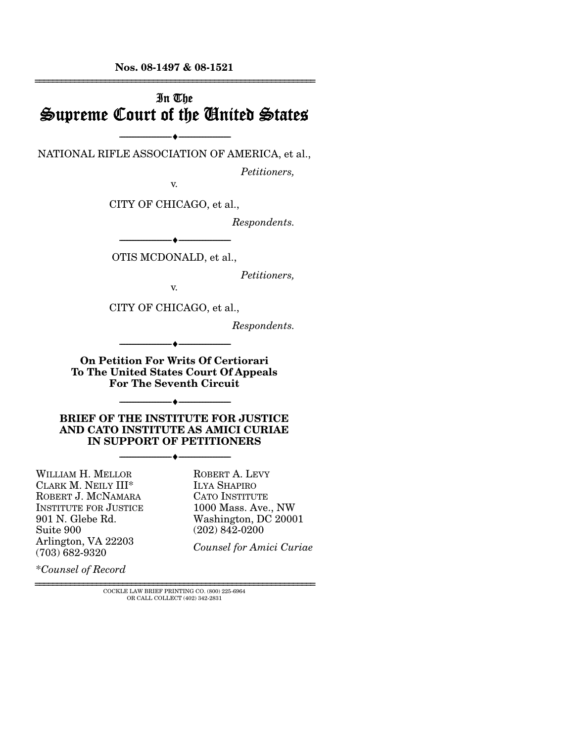**Nos. 08-1497 & 08-1521**  ================================================================

## In The Supreme Court of the United States

--------------------------------- ♦ --------------------------------- NATIONAL RIFLE ASSOCIATION OF AMERICA, et al.,

*Petitioners,* 

v.

CITY OF CHICAGO, et al.,

*Respondents.* 

--------------------------------- ♦ --------------------------------- OTIS MCDONALD, et al.,

*Petitioners,* 

v.

CITY OF CHICAGO, et al.,

*Respondents.* 

**On Petition For Writs Of Certiorari To The United States Court Of Appeals For The Seventh Circuit** 

--------------------------------- ♦ ---------------------------------

--------------------------------- ♦ ---------------------------------

**BRIEF OF THE INSTITUTE FOR JUSTICE AND CATO INSTITUTE AS AMICI CURIAE IN SUPPORT OF PETITIONERS** 

--------------------------------- ♦ ---------------------------------

WILLIAM H. MELLOR CLARK M. NEILY III\* ROBERT J. MCNAMARA INSTITUTE FOR JUSTICE 901 N. Glebe Rd. Suite 900 Arlington, VA 22203 (703) 682-9320

ROBERT A. LEVY ILYA SHAPIRO CATO INSTITUTE 1000 Mass. Ave., NW Washington, DC 20001 (202) 842-0200

*Counsel for Amici Curiae*

\**Counsel of Record*

================================================================ COCKLE LAW BRIEF PRINTING CO. (800) 225-6964 OR CALL COLLECT (402) 342-2831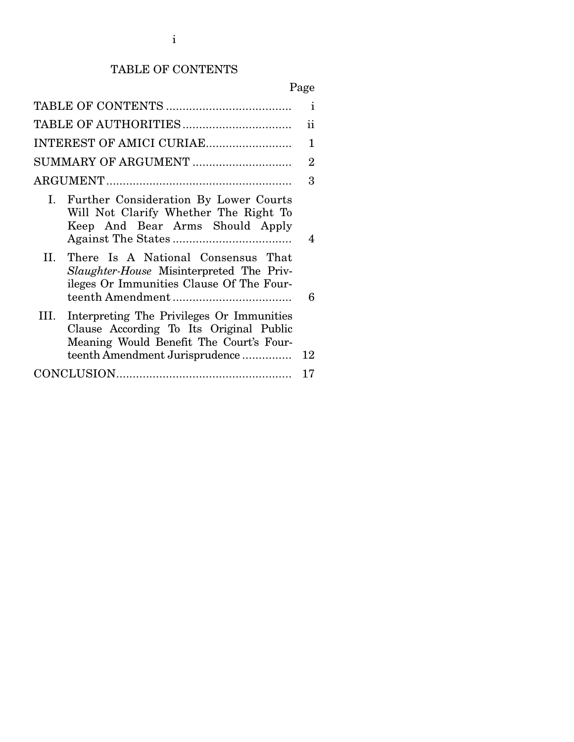# TABLE OF CONTENTS

# Page

|                                                                                                                                                                           | $\mathbf{i}$   |
|---------------------------------------------------------------------------------------------------------------------------------------------------------------------------|----------------|
|                                                                                                                                                                           | ii             |
| INTEREST OF AMICI CURIAE                                                                                                                                                  | 1              |
| SUMMARY OF ARGUMENT                                                                                                                                                       | $\overline{2}$ |
|                                                                                                                                                                           | 3              |
| I. Further Consideration By Lower Courts<br>Will Not Clarify Whether The Right To<br>Keep And Bear Arms Should Apply                                                      | 4              |
| There Is A National Consensus That<br>II.<br><i>Slaughter-House</i> Misinterpreted The Priv-<br>ileges Or Immunities Clause Of The Four-                                  | 6              |
| Interpreting The Privileges Or Immunities<br>III.<br>Clause According To Its Original Public<br>Meaning Would Benefit The Court's Four-<br>teenth Amendment Jurisprudence | 12             |
|                                                                                                                                                                           | 17             |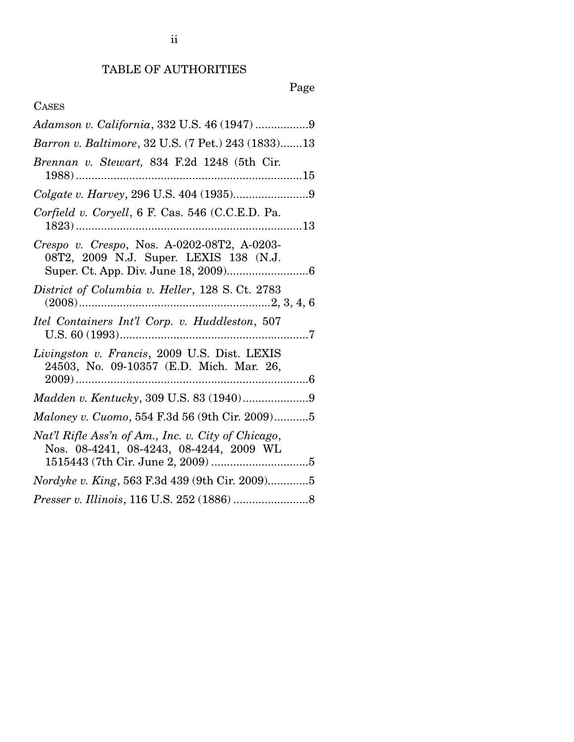# Page

## CASES

| Adamson v. California, 332 U.S. 46 (1947) 9                                                   |
|-----------------------------------------------------------------------------------------------|
| Barron v. Baltimore, 32 U.S. (7 Pet.) 243 (1833)13                                            |
| Brennan v. Stewart, 834 F.2d 1248 (5th Cir.                                                   |
|                                                                                               |
| Corfield v. Coryell, 6 F. Cas. 546 (C.C.E.D. Pa.                                              |
| Crespo v. Crespo, Nos. A-0202-08T2, A-0203-<br>08T2, 2009 N.J. Super. LEXIS 138 (N.J.         |
| District of Columbia v. Heller, 128 S. Ct. 2783                                               |
| Itel Containers Int'l Corp. v. Huddleston, 507                                                |
| Livingston v. Francis, 2009 U.S. Dist. LEXIS<br>24503, No. 09-10357 (E.D. Mich. Mar. 26,      |
|                                                                                               |
| Maloney v. Cuomo, 554 F.3d 56 (9th Cir. 2009)5                                                |
| Nat'l Rifle Ass'n of Am., Inc. v. City of Chicago,<br>Nos. 08-4241, 08-4243, 08-4244, 2009 WL |
| <i>Nordyke v. King</i> , 563 F.3d 439 (9th Cir. 2009)5                                        |
|                                                                                               |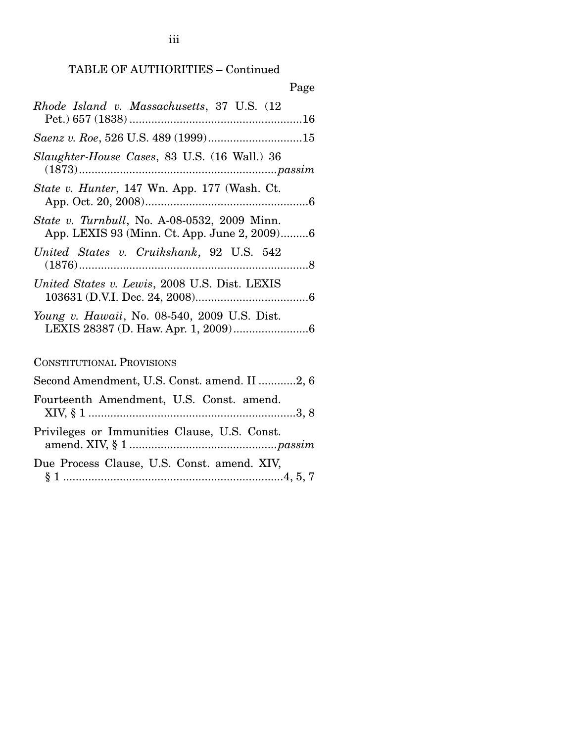| Page                                                                                         |
|----------------------------------------------------------------------------------------------|
| Rhode Island v. Massachusetts, 37 U.S. (12                                                   |
|                                                                                              |
| <i>Slaughter-House Cases</i> , 83 U.S. (16 Wall.) 36                                         |
| State v. Hunter, 147 Wn. App. 177 (Wash. Ct.                                                 |
| State v. Turnbull, No. A-08-0532, 2009 Minn.<br>App. LEXIS 93 (Minn. Ct. App. June 2, 2009)6 |
| United States v. Cruikshank, 92 U.S. 542                                                     |
| United States v. Lewis, 2008 U.S. Dist. LEXIS                                                |
| <i>Young v. Hawaii</i> , No. 08-540, 2009 U.S. Dist.                                         |
| <b>CONSTITUTIONAL PROVISIONS</b>                                                             |
| Second Amendment, U.S. Const. amend. II 2, 6                                                 |
| Fourteenth Amendment, U.S. Const. amend.                                                     |
| Privileges or Immunities Clause, U.S. Const.                                                 |

| Due Process Clause, U.S. Const. amend. XIV, |  |  |  |
|---------------------------------------------|--|--|--|

|--|--|--|--|--|

iii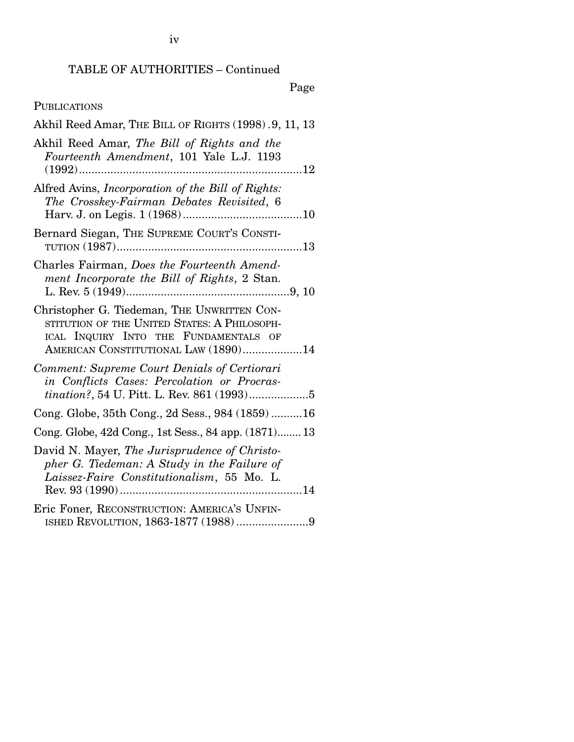Page

## PUBLICATIONS

| Akhil Reed Amar, THE BILL OF RIGHTS (1998). 9, 11, 13                                                                                                                        |
|------------------------------------------------------------------------------------------------------------------------------------------------------------------------------|
| Akhil Reed Amar, The Bill of Rights and the<br>Fourteenth Amendment, 101 Yale L.J. 1193                                                                                      |
| Alfred Avins, Incorporation of the Bill of Rights:<br>The Crosskey-Fairman Debates Revisited, 6                                                                              |
| Bernard Siegan, THE SUPREME COURT'S CONSTI-                                                                                                                                  |
| Charles Fairman, Does the Fourteenth Amend-<br>ment Incorporate the Bill of Rights, 2 Stan.                                                                                  |
| Christopher G. Tiedeman, THE UNWRITTEN CON-<br>STITUTION OF THE UNITED STATES: A PHILOSOPH-<br>ICAL INQUIRY INTO THE FUNDAMENTALS OF<br>AMERICAN CONSTITUTIONAL LAW (1890)14 |
| Comment: Supreme Court Denials of Certiorari<br>in Conflicts Cases: Percolation or Procras-                                                                                  |
| Cong. Globe, 35th Cong., 2d Sess., 984 (1859)16                                                                                                                              |
| Cong. Globe, 42d Cong., 1st Sess., 84 app. (1871) 13                                                                                                                         |
| David N. Mayer, The Jurisprudence of Christo-<br>pher G. Tiedeman: A Study in the Failure of<br>Laissez-Faire Constitutionalism, 55 Mo. L.                                   |
| Eric Foner, RECONSTRUCTION: AMERICA'S UNFIN-<br>ISHED REVOLUTION, 1863-1877 (1988) 9                                                                                         |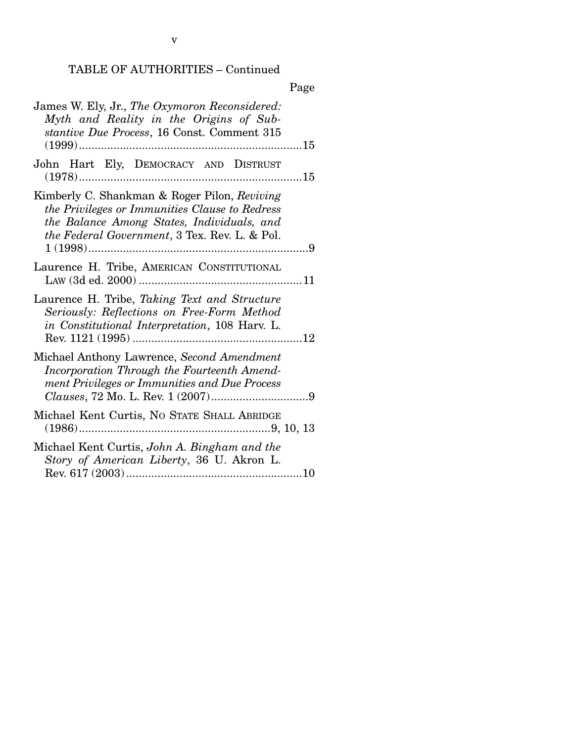|--|

| James W. Ely, Jr., The Oxymoron Reconsidered:<br>Myth and Reality in the Origins of Sub-<br>stantive Due Process, 16 Const. Comment 315                                                               |  |
|-------------------------------------------------------------------------------------------------------------------------------------------------------------------------------------------------------|--|
| John Hart Ely, DEMOCRACY AND DISTRUST                                                                                                                                                                 |  |
| Kimberly C. Shankman & Roger Pilon, Reviving<br>the Privileges or Immunities Clause to Redress<br>the Balance Among States, Individuals, and<br><i>the Federal Government</i> , 3 Tex. Rev. L. & Pol. |  |
| Laurence H. Tribe, AMERICAN CONSTITUTIONAL                                                                                                                                                            |  |
| Laurence H. Tribe, Taking Text and Structure<br>Seriously: Reflections on Free-Form Method<br>in Constitutional Interpretation, 108 Harv. L.                                                          |  |
| Michael Anthony Lawrence, Second Amendment<br>Incorporation Through the Fourteenth Amend-<br>ment Privileges or Immunities and Due Process                                                            |  |
| Michael Kent Curtis, No STATE SHALL ABRIDGE                                                                                                                                                           |  |
| Michael Kent Curtis, John A. Bingham and the<br>Story of American Liberty, 36 U. Akron L.                                                                                                             |  |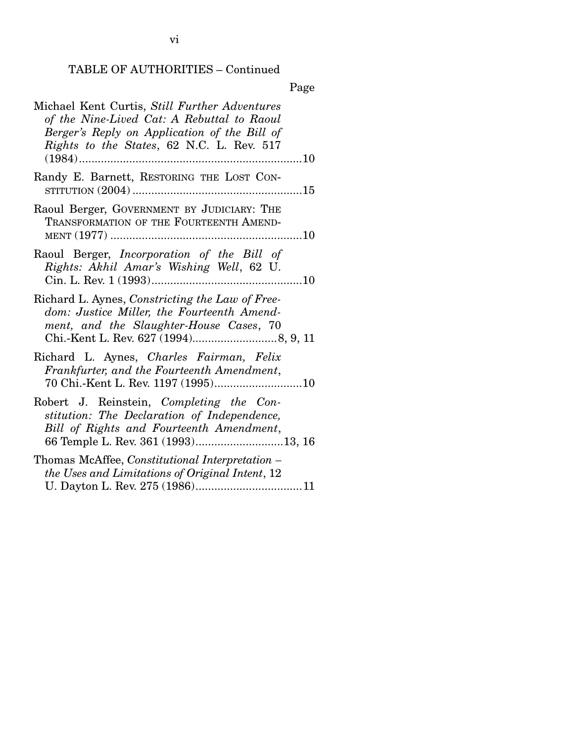Page

| Michael Kent Curtis, Still Further Adventures<br>of the Nine-Lived Cat: A Rebuttal to Raoul<br>Berger's Reply on Application of the Bill of<br>Rights to the States, 62 N.C. L. Rev. 517 |
|------------------------------------------------------------------------------------------------------------------------------------------------------------------------------------------|
| Randy E. Barnett, RESTORING THE LOST CON-                                                                                                                                                |
| Raoul Berger, GOVERNMENT BY JUDICIARY: THE<br>TRANSFORMATION OF THE FOURTEENTH AMEND-                                                                                                    |
| Raoul Berger, <i>Incorporation</i> of the Bill of<br>Rights: Akhil Amar's Wishing Well, 62 U.                                                                                            |
| Richard L. Aynes, Constricting the Law of Free-<br>dom: Justice Miller, the Fourteenth Amend-<br>ment, and the Slaughter-House Cases, 70                                                 |
| Richard L. Aynes, Charles Fairman, Felix<br>Frankfurter, and the Fourteenth Amendment,                                                                                                   |
| Robert J. Reinstein, Completing the Con-<br>stitution: The Declaration of Independence,<br>Bill of Rights and Fourteenth Amendment,                                                      |
| Thomas McAffee, Constitutional Interpretation -<br>the Uses and Limitations of Original Intent, 12                                                                                       |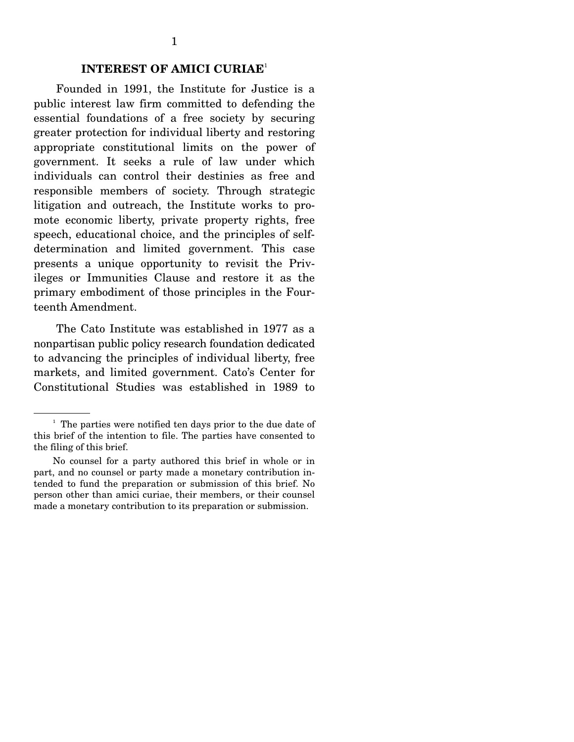#### **INTEREST OF AMICI CURIAE**<sup>1</sup>

Founded in 1991, the Institute for Justice is a public interest law firm committed to defending the essential foundations of a free society by securing greater protection for individual liberty and restoring appropriate constitutional limits on the power of government. It seeks a rule of law under which individuals can control their destinies as free and responsible members of society. Through strategic litigation and outreach, the Institute works to promote economic liberty, private property rights, free speech, educational choice, and the principles of selfdetermination and limited government. This case presents a unique opportunity to revisit the Privileges or Immunities Clause and restore it as the primary embodiment of those principles in the Fourteenth Amendment.

 The Cato Institute was established in 1977 as a nonpartisan public policy research foundation dedicated to advancing the principles of individual liberty, free markets, and limited government. Cato's Center for Constitutional Studies was established in 1989 to

<sup>&</sup>lt;sup>1</sup> The parties were notified ten days prior to the due date of this brief of the intention to file. The parties have consented to the filing of this brief.

No counsel for a party authored this brief in whole or in part, and no counsel or party made a monetary contribution intended to fund the preparation or submission of this brief. No person other than amici curiae, their members, or their counsel made a monetary contribution to its preparation or submission.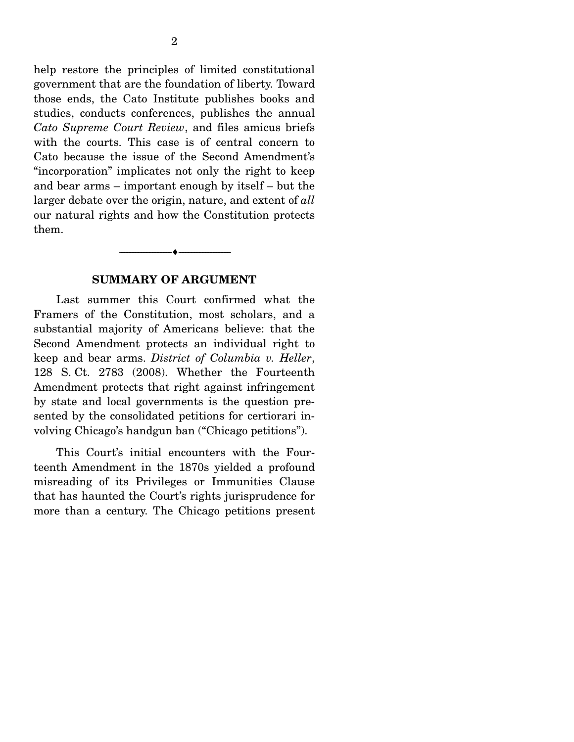help restore the principles of limited constitutional government that are the foundation of liberty. Toward those ends, the Cato Institute publishes books and studies, conducts conferences, publishes the annual *Cato Supreme Court Review*, and files amicus briefs with the courts. This case is of central concern to Cato because the issue of the Second Amendment's "incorporation" implicates not only the right to keep and bear arms – important enough by itself – but the larger debate over the origin, nature, and extent of *all* our natural rights and how the Constitution protects them.

#### **SUMMARY OF ARGUMENT**

--------------------------------- ♦ ---------------------------------

Last summer this Court confirmed what the Framers of the Constitution, most scholars, and a substantial majority of Americans believe: that the Second Amendment protects an individual right to keep and bear arms. *District of Columbia v. Heller*, 128 S. Ct. 2783 (2008). Whether the Fourteenth Amendment protects that right against infringement by state and local governments is the question presented by the consolidated petitions for certiorari involving Chicago's handgun ban ("Chicago petitions").

 This Court's initial encounters with the Fourteenth Amendment in the 1870s yielded a profound misreading of its Privileges or Immunities Clause that has haunted the Court's rights jurisprudence for more than a century. The Chicago petitions present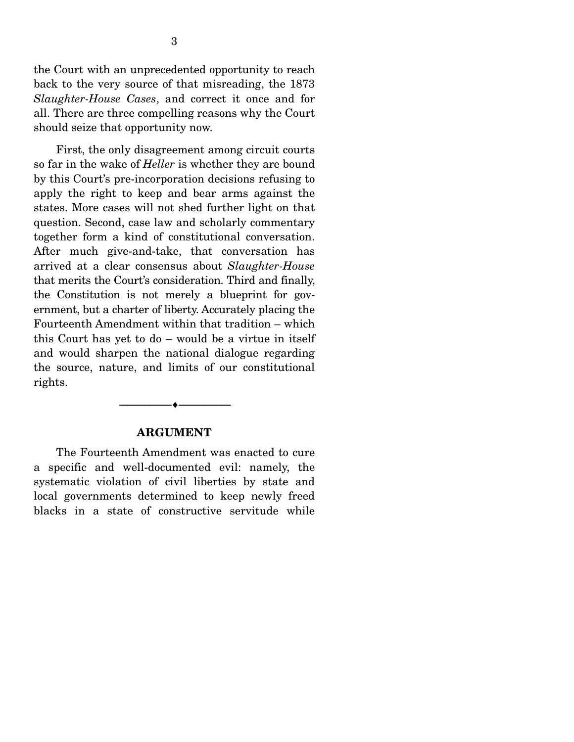the Court with an unprecedented opportunity to reach back to the very source of that misreading, the 1873 *Slaughter-House Cases*, and correct it once and for all. There are three compelling reasons why the Court should seize that opportunity now.

 First, the only disagreement among circuit courts so far in the wake of *Heller* is whether they are bound by this Court's pre-incorporation decisions refusing to apply the right to keep and bear arms against the states. More cases will not shed further light on that question. Second, case law and scholarly commentary together form a kind of constitutional conversation. After much give-and-take, that conversation has arrived at a clear consensus about *Slaughter-House* that merits the Court's consideration. Third and finally, the Constitution is not merely a blueprint for government, but a charter of liberty. Accurately placing the Fourteenth Amendment within that tradition – which this Court has yet to do – would be a virtue in itself and would sharpen the national dialogue regarding the source, nature, and limits of our constitutional rights.

#### **ARGUMENT**

--------------------------------- ♦ ---------------------------------

The Fourteenth Amendment was enacted to cure a specific and well-documented evil: namely, the systematic violation of civil liberties by state and local governments determined to keep newly freed blacks in a state of constructive servitude while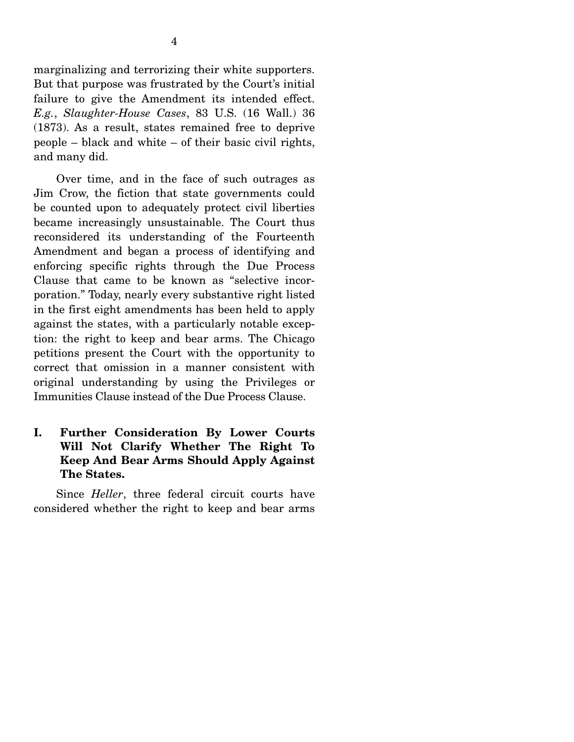marginalizing and terrorizing their white supporters. But that purpose was frustrated by the Court's initial failure to give the Amendment its intended effect. *E.g.*, *Slaughter-House Cases*, 83 U.S. (16 Wall.) 36 (1873). As a result, states remained free to deprive people – black and white – of their basic civil rights, and many did.

 Over time, and in the face of such outrages as Jim Crow, the fiction that state governments could be counted upon to adequately protect civil liberties became increasingly unsustainable. The Court thus reconsidered its understanding of the Fourteenth Amendment and began a process of identifying and enforcing specific rights through the Due Process Clause that came to be known as "selective incorporation." Today, nearly every substantive right listed in the first eight amendments has been held to apply against the states, with a particularly notable exception: the right to keep and bear arms. The Chicago petitions present the Court with the opportunity to correct that omission in a manner consistent with original understanding by using the Privileges or Immunities Clause instead of the Due Process Clause.

### **I. Further Consideration By Lower Courts Will Not Clarify Whether The Right To Keep And Bear Arms Should Apply Against The States.**

Since *Heller*, three federal circuit courts have considered whether the right to keep and bear arms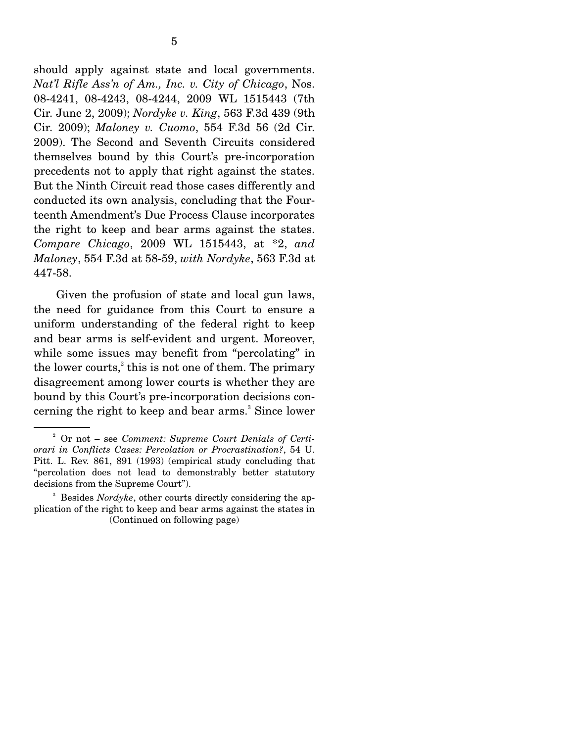should apply against state and local governments. *Nat'l Rifle Ass'n of Am., Inc. v. City of Chicago*, Nos. 08-4241, 08-4243, 08-4244, 2009 WL 1515443 (7th Cir. June 2, 2009); *Nordyke v. King*, 563 F.3d 439 (9th Cir. 2009); *Maloney v. Cuomo*, 554 F.3d 56 (2d Cir. 2009). The Second and Seventh Circuits considered themselves bound by this Court's pre-incorporation precedents not to apply that right against the states. But the Ninth Circuit read those cases differently and conducted its own analysis, concluding that the Fourteenth Amendment's Due Process Clause incorporates the right to keep and bear arms against the states. *Compare Chicago*, 2009 WL 1515443, at \*2, *and Maloney*, 554 F.3d at 58-59, *with Nordyke*, 563 F.3d at 447-58.

 Given the profusion of state and local gun laws, the need for guidance from this Court to ensure a uniform understanding of the federal right to keep and bear arms is self-evident and urgent. Moreover, while some issues may benefit from "percolating" in the lower courts, $^{2}$  this is not one of them. The primary disagreement among lower courts is whether they are bound by this Court's pre-incorporation decisions concerning the right to keep and bear arms.<sup>3</sup> Since lower

<sup>2</sup> Or not – see *Comment: Supreme Court Denials of Certiorari in Conflicts Cases: Percolation or Procrastination?*, 54 U. Pitt. L. Rev. 861, 891 (1993) (empirical study concluding that "percolation does not lead to demonstrably better statutory decisions from the Supreme Court").

<sup>&</sup>lt;sup>3</sup> Besides *Nordyke*, other courts directly considering the application of the right to keep and bear arms against the states in (Continued on following page)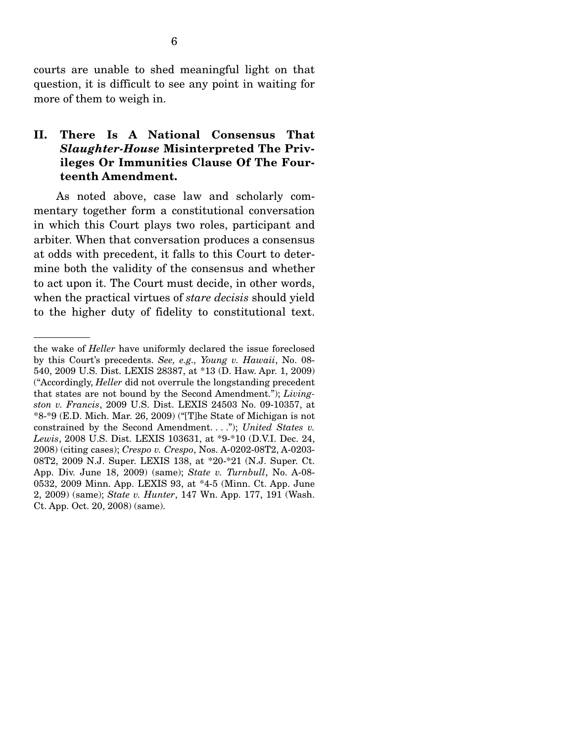courts are unable to shed meaningful light on that question, it is difficult to see any point in waiting for more of them to weigh in.

### **II. There Is A National Consensus That**  *Slaughter-House* **Misinterpreted The Privileges Or Immunities Clause Of The Fourteenth Amendment.**

As noted above, case law and scholarly commentary together form a constitutional conversation in which this Court plays two roles, participant and arbiter. When that conversation produces a consensus at odds with precedent, it falls to this Court to determine both the validity of the consensus and whether to act upon it. The Court must decide, in other words, when the practical virtues of *stare decisis* should yield to the higher duty of fidelity to constitutional text.

the wake of *Heller* have uniformly declared the issue foreclosed by this Court's precedents. *See, e.g., Young v. Hawaii*, No. 08- 540, 2009 U.S. Dist. LEXIS 28387, at \*13 (D. Haw. Apr. 1, 2009) ("Accordingly, *Heller* did not overrule the longstanding precedent that states are not bound by the Second Amendment."); *Livingston v. Francis*, 2009 U.S. Dist. LEXIS 24503 No. 09-10357, at \*8-\*9 (E.D. Mich. Mar. 26, 2009) ("[T]he State of Michigan is not constrained by the Second Amendment. . . ."); *United States v. Lewis*, 2008 U.S. Dist. LEXIS 103631, at \*9-\*10 (D.V.I. Dec. 24, 2008) (citing cases); *Crespo v. Crespo*, Nos. A-0202-08T2, A-0203- 08T2, 2009 N.J. Super. LEXIS 138, at \*20-\*21 (N.J. Super. Ct. App. Div. June 18, 2009) (same); *State v. Turnbull*, No. A-08- 0532, 2009 Minn. App. LEXIS 93, at \*4-5 (Minn. Ct. App. June 2, 2009) (same); *State v. Hunter*, 147 Wn. App. 177, 191 (Wash. Ct. App. Oct. 20, 2008) (same).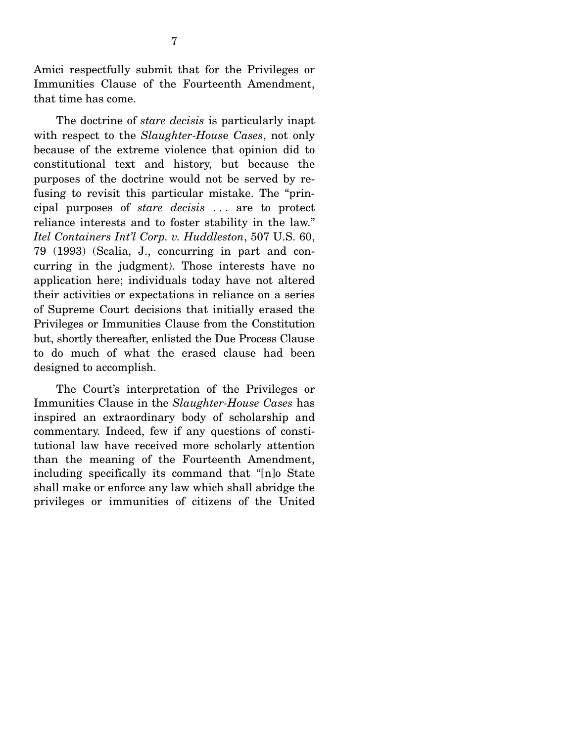Amici respectfully submit that for the Privileges or Immunities Clause of the Fourteenth Amendment, that time has come.

 The doctrine of *stare decisis* is particularly inapt with respect to the *Slaughter-Hous*e *Cases*, not only because of the extreme violence that opinion did to constitutional text and history, but because the purposes of the doctrine would not be served by refusing to revisit this particular mistake. The "principal purposes of *stare decisis* . . . are to protect reliance interests and to foster stability in the law." *Itel Containers Int'l Corp. v. Huddleston*, 507 U.S. 60, 79 (1993) (Scalia, J., concurring in part and concurring in the judgment). Those interests have no application here; individuals today have not altered their activities or expectations in reliance on a series of Supreme Court decisions that initially erased the Privileges or Immunities Clause from the Constitution but, shortly thereafter, enlisted the Due Process Clause to do much of what the erased clause had been designed to accomplish.

 The Court's interpretation of the Privileges or Immunities Clause in the *Slaughter-House Cases* has inspired an extraordinary body of scholarship and commentary. Indeed, few if any questions of constitutional law have received more scholarly attention than the meaning of the Fourteenth Amendment, including specifically its command that "[n]o State shall make or enforce any law which shall abridge the privileges or immunities of citizens of the United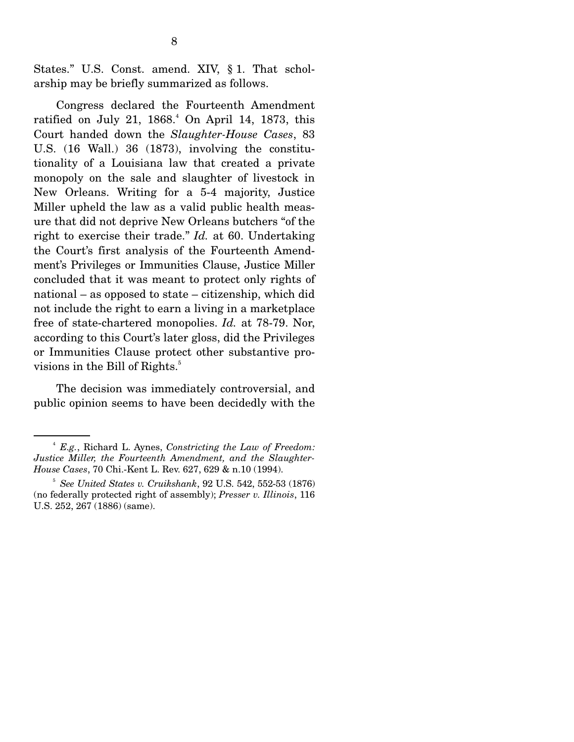States." U.S. Const. amend. XIV, § 1. That scholarship may be briefly summarized as follows.

 Congress declared the Fourteenth Amendment ratified on July 21,  $1868.<sup>4</sup>$  On April 14, 1873, this Court handed down the *Slaughter-House Cases*, 83 U.S. (16 Wall.) 36 (1873), involving the constitutionality of a Louisiana law that created a private monopoly on the sale and slaughter of livestock in New Orleans. Writing for a 5-4 majority, Justice Miller upheld the law as a valid public health measure that did not deprive New Orleans butchers "of the right to exercise their trade." *Id.* at 60. Undertaking the Court's first analysis of the Fourteenth Amendment's Privileges or Immunities Clause, Justice Miller concluded that it was meant to protect only rights of national – as opposed to state – citizenship, which did not include the right to earn a living in a marketplace free of state-chartered monopolies. *Id.* at 78-79. Nor, according to this Court's later gloss, did the Privileges or Immunities Clause protect other substantive provisions in the Bill of Rights.<sup>5</sup>

 The decision was immediately controversial, and public opinion seems to have been decidedly with the

<sup>4</sup>  *E.g.*, Richard L. Aynes, *Constricting the Law of Freedom: Justice Miller, the Fourteenth Amendment, and the Slaughter-House Cases*, 70 Chi.-Kent L. Rev. 627, 629 & n.10 (1994).

<sup>5</sup>  *See United States v. Cruikshank*, 92 U.S. 542, 552-53 (1876) (no federally protected right of assembly); *Presser v. Illinois*, 116 U.S. 252, 267 (1886) (same).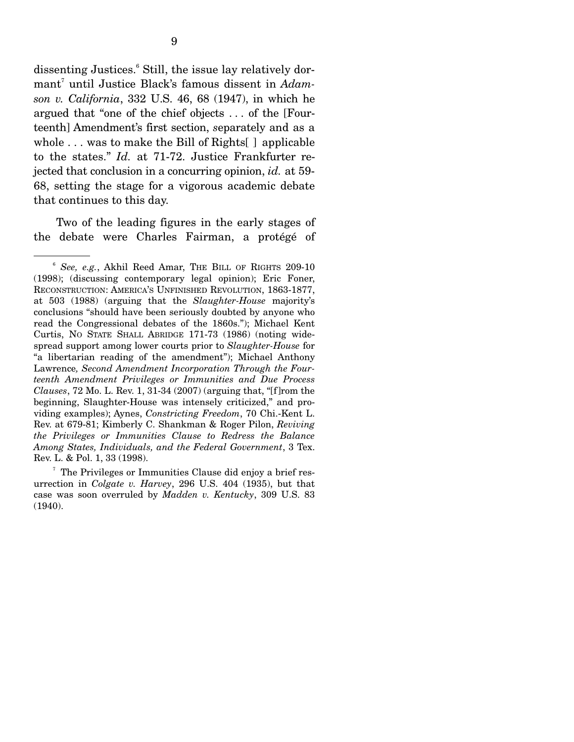dissenting Justices.<sup>6</sup> Still, the issue lay relatively dormant<sup>7</sup> until Justice Black's famous dissent in *Adamson v. California*, 332 U.S. 46, 68 (1947), in which he argued that "one of the chief objects . . . of the [Fourteenth] Amendment's first section, *s*eparately and as a whole  $\ldots$  was to make the Bill of Rights  $\lceil$  applicable to the states." *Id.* at 71-72. Justice Frankfurter rejected that conclusion in a concurring opinion, *id.* at 59- 68, setting the stage for a vigorous academic debate that continues to this day.

 Two of the leading figures in the early stages of the debate were Charles Fairman, a protégé of

<sup>6</sup> *See, e.g.*, Akhil Reed Amar, THE BILL OF RIGHTS 209-10 (1998); (discussing contemporary legal opinion); Eric Foner, RECONSTRUCTION: AMERICA'S UNFINISHED REVOLUTION, 1863-1877, at 503 (1988) (arguing that the *Slaughter-House* majority's conclusions "should have been seriously doubted by anyone who read the Congressional debates of the 1860s."); Michael Kent Curtis, NO STATE SHALL ABRIDGE 171-73 (1986) (noting widespread support among lower courts prior to *Slaughter-House* for "a libertarian reading of the amendment"); Michael Anthony Lawrence*, Second Amendment Incorporation Through the Fourteenth Amendment Privileges or Immunities and Due Process Clauses*, 72 Mo. L. Rev. 1, 31-34 (2007) (arguing that, "[f]rom the beginning, Slaughter-House was intensely criticized," and providing examples); Aynes, *Constricting Freedom*, 70 Chi.-Kent L. Rev. at 679-81; Kimberly C. Shankman & Roger Pilon, *Reviving the Privileges or Immunities Clause to Redress the Balance Among States, Individuals, and the Federal Government*, 3 Tex. Rev. L. & Pol. 1, 33 (1998).

<sup>&</sup>lt;sup>7</sup> The Privileges or Immunities Clause did enjoy a brief resurrection in *Colgate v. Harvey*, 296 U.S. 404 (1935), but that case was soon overruled by *Madden v. Kentucky*, 309 U.S. 83 (1940).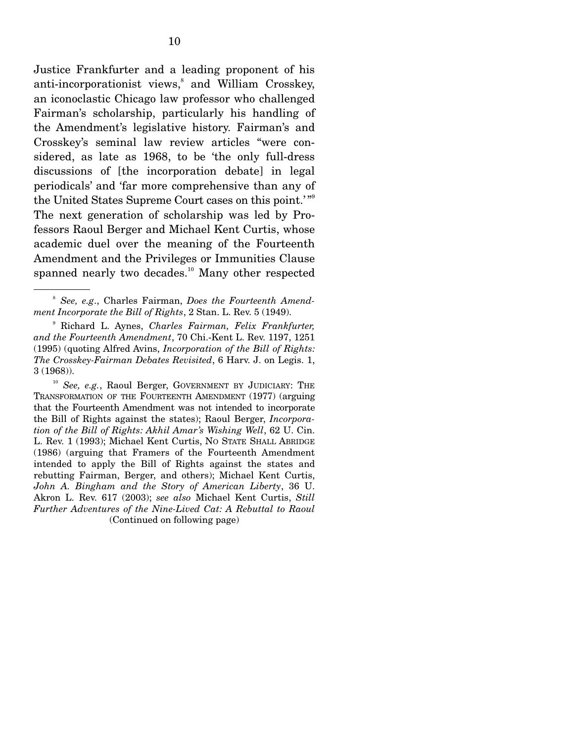Justice Frankfurter and a leading proponent of his anti-incorporationist views,<sup>8</sup> and William Crosskey, an iconoclastic Chicago law professor who challenged Fairman's scholarship, particularly his handling of the Amendment's legislative history. Fairman's and Crosskey's seminal law review articles "were considered, as late as 1968, to be 'the only full-dress discussions of [the incorporation debate] in legal periodicals' and 'far more comprehensive than any of the United States Supreme Court cases on this point.'"<sup>9</sup> The next generation of scholarship was led by Professors Raoul Berger and Michael Kent Curtis, whose academic duel over the meaning of the Fourteenth Amendment and the Privileges or Immunities Clause spanned nearly two decades.<sup>10</sup> Many other respected

<sup>8</sup> *See, e.g*., Charles Fairman, *Does the Fourteenth Amendment Incorporate the Bill of Rights*, 2 Stan. L. Rev. 5 (1949).

<sup>9</sup> Richard L. Aynes, *Charles Fairman, Felix Frankfurter, and the Fourteenth Amendment*, 70 Chi.-Kent L. Rev. 1197, 1251 (1995) (quoting Alfred Avins, *Incorporation of the Bill of Rights: The Crosskey-Fairman Debates Revisited*, 6 Harv. J. on Legis. 1, 3 (1968)).

<sup>&</sup>lt;sup>10</sup> See, e.g., Raoul Berger, GOVERNMENT BY JUDICIARY: THE TRANSFORMATION OF THE FOURTEENTH AMENDMENT (1977) (arguing that the Fourteenth Amendment was not intended to incorporate the Bill of Rights against the states); Raoul Berger, *Incorporation of the Bill of Rights: Akhil Amar's Wishing Well*, 62 U. Cin. L. Rev. 1 (1993); Michael Kent Curtis, NO STATE SHALL ABRIDGE (1986) (arguing that Framers of the Fourteenth Amendment intended to apply the Bill of Rights against the states and rebutting Fairman, Berger, and others); Michael Kent Curtis, *John A. Bingham and the Story of American Liberty*, 36 U. Akron L. Rev. 617 (2003); *see also* Michael Kent Curtis, *Still Further Adventures of the Nine-Lived Cat: A Rebuttal to Raoul*  (Continued on following page)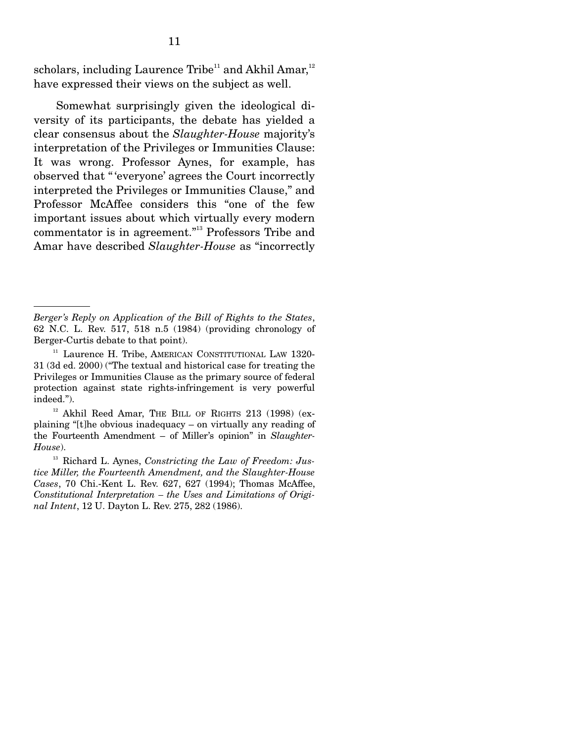scholars, including Laurence Tribe<sup>11</sup> and Akhil Amar,<sup>12</sup> have expressed their views on the subject as well.

 Somewhat surprisingly given the ideological diversity of its participants, the debate has yielded a clear consensus about the *Slaughter-House* majority's interpretation of the Privileges or Immunities Clause: It was wrong. Professor Aynes, for example, has observed that " 'everyone' agrees the Court incorrectly interpreted the Privileges or Immunities Clause," and Professor McAffee considers this "one of the few important issues about which virtually every modern commentator is in agreement."13 Professors Tribe and Amar have described *Slaughter-House* as "incorrectly

*Berger's Reply on Application of the Bill of Rights to the States*, 62 N.C. L. Rev. 517, 518 n.5 (1984) (providing chronology of Berger-Curtis debate to that point).

<sup>&</sup>lt;sup>11</sup> Laurence H. Tribe, AMERICAN CONSTITUTIONAL LAW 1320-31 (3d ed. 2000) ("The textual and historical case for treating the Privileges or Immunities Clause as the primary source of federal protection against state rights-infringement is very powerful indeed.").

<sup>&</sup>lt;sup>12</sup> Akhil Reed Amar, THE BILL OF RIGHTS 213 (1998) (explaining "[t]he obvious inadequacy – on virtually any reading of the Fourteenth Amendment – of Miller's opinion" in *Slaughter-House*).

<sup>13</sup> Richard L. Aynes, *Constricting the Law of Freedom: Justice Miller, the Fourteenth Amendment, and the Slaughter-House Cases*, 70 Chi.-Kent L. Rev. 627, 627 (1994); Thomas McAffee, *Constitutional Interpretation – the Uses and Limitations of Original Intent*, 12 U. Dayton L. Rev. 275, 282 (1986).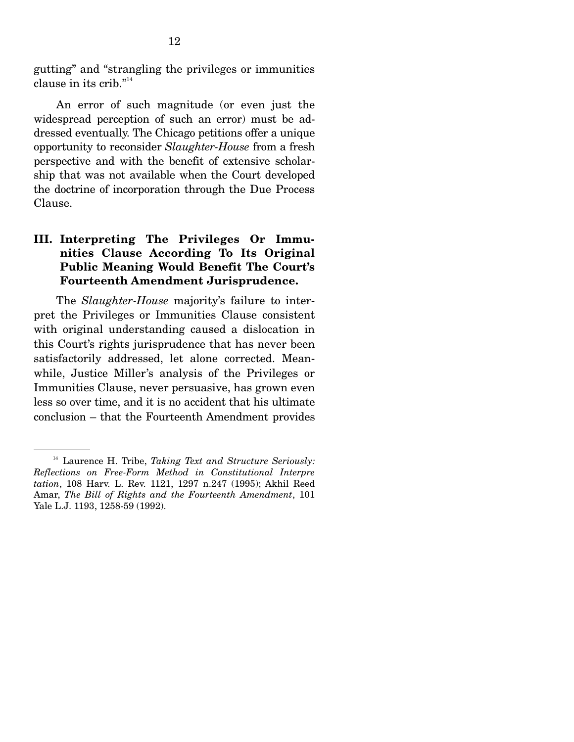gutting" and "strangling the privileges or immunities clause in its crib."<sup>14</sup>

 An error of such magnitude (or even just the widespread perception of such an error) must be addressed eventually. The Chicago petitions offer a unique opportunity to reconsider *Slaughter-House* from a fresh perspective and with the benefit of extensive scholarship that was not available when the Court developed the doctrine of incorporation through the Due Process Clause.

### **III. Interpreting The Privileges Or Immunities Clause According To Its Original Public Meaning Would Benefit The Court's Fourteenth Amendment Jurisprudence.**

 The *Slaughter-House* majority's failure to interpret the Privileges or Immunities Clause consistent with original understanding caused a dislocation in this Court's rights jurisprudence that has never been satisfactorily addressed, let alone corrected. Meanwhile, Justice Miller's analysis of the Privileges or Immunities Clause, never persuasive, has grown even less so over time, and it is no accident that his ultimate conclusion – that the Fourteenth Amendment provides

<sup>14</sup> Laurence H. Tribe, *Taking Text and Structure Seriously: Reflections on Free-Form Method in Constitutional Interpre tation*, 108 Harv. L. Rev. 1121, 1297 n.247 (1995); Akhil Reed Amar, *The Bill of Rights and the Fourteenth Amendment*, 101 Yale L.J. 1193, 1258-59 (1992).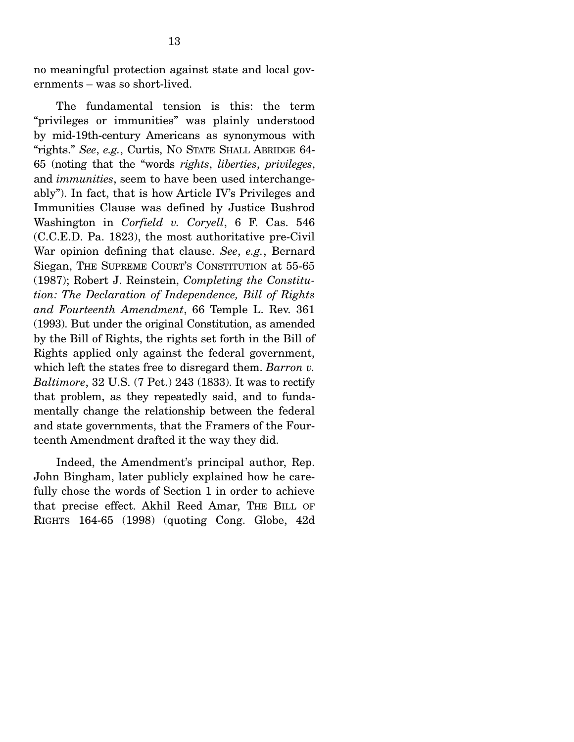no meaningful protection against state and local governments – was so short-lived.

 The fundamental tension is this: the term "privileges or immunities" was plainly understood by mid-19th-century Americans as synonymous with "rights." *See*, *e.g.*, Curtis, NO STATE SHALL ABRIDGE 64- 65 (noting that the "words *rights*, *liberties*, *privileges*, and *immunities*, seem to have been used interchangeably"). In fact, that is how Article IV's Privileges and Immunities Clause was defined by Justice Bushrod Washington in *Corfield v. Coryell*, 6 F. Cas. 546 (C.C.E.D. Pa. 1823), the most authoritative pre-Civil War opinion defining that clause. *See*, *e.g.*, Bernard Siegan, THE SUPREME COURT'S CONSTITUTION at 55-65 (1987); Robert J. Reinstein, *Completing the Constitution: The Declaration of Independence, Bill of Rights and Fourteenth Amendment*, 66 Temple L. Rev. 361 (1993). But under the original Constitution, as amended by the Bill of Rights, the rights set forth in the Bill of Rights applied only against the federal government, which left the states free to disregard them. *Barron v. Baltimore*, 32 U.S. (7 Pet.) 243 (1833). It was to rectify that problem, as they repeatedly said, and to fundamentally change the relationship between the federal and state governments, that the Framers of the Fourteenth Amendment drafted it the way they did.

 Indeed, the Amendment's principal author, Rep. John Bingham, later publicly explained how he carefully chose the words of Section 1 in order to achieve that precise effect. Akhil Reed Amar, THE BILL OF RIGHTS 164-65 (1998) (quoting Cong. Globe, 42d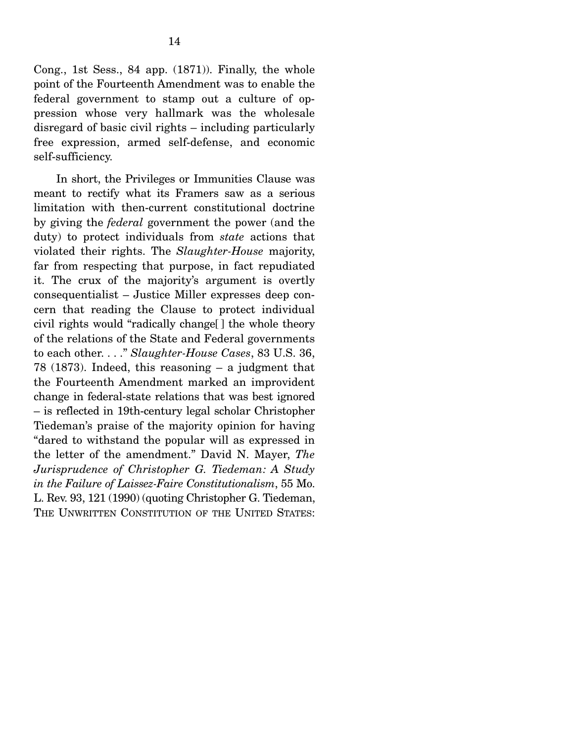Cong., 1st Sess., 84 app. (1871)). Finally, the whole point of the Fourteenth Amendment was to enable the federal government to stamp out a culture of oppression whose very hallmark was the wholesale disregard of basic civil rights – including particularly free expression, armed self-defense, and economic self-sufficiency.

 In short, the Privileges or Immunities Clause was meant to rectify what its Framers saw as a serious limitation with then-current constitutional doctrine by giving the *federal* government the power (and the duty) to protect individuals from *state* actions that violated their rights. The *Slaughter-House* majority, far from respecting that purpose, in fact repudiated it. The crux of the majority's argument is overtly consequentialist – Justice Miller expresses deep concern that reading the Clause to protect individual civil rights would "radically change[ ] the whole theory of the relations of the State and Federal governments to each other. . . ." *Slaughter-House Cases*, 83 U.S. 36, 78 (1873). Indeed, this reasoning – a judgment that the Fourteenth Amendment marked an improvident change in federal-state relations that was best ignored – is reflected in 19th-century legal scholar Christopher Tiedeman's praise of the majority opinion for having "dared to withstand the popular will as expressed in the letter of the amendment." David N. Mayer, *The Jurisprudence of Christopher G. Tiedeman: A Study in the Failure of Laissez-Faire Constitutionalism*, 55 Mo. L. Rev. 93, 121 (1990) (quoting Christopher G. Tiedeman, THE UNWRITTEN CONSTITUTION OF THE UNITED STATES: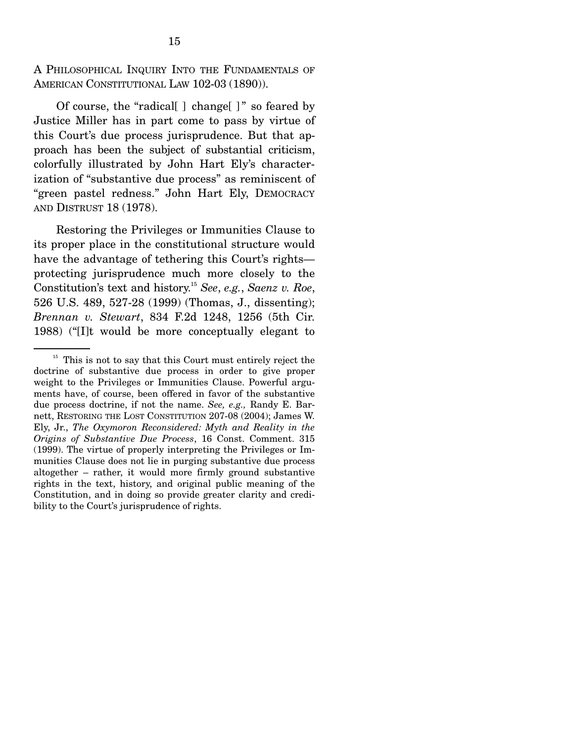A PHILOSOPHICAL INQUIRY INTO THE FUNDAMENTALS OF AMERICAN CONSTITUTIONAL LAW 102-03 (1890)).

 Of course, the "radical[ ] change[ ] " so feared by Justice Miller has in part come to pass by virtue of this Court's due process jurisprudence. But that approach has been the subject of substantial criticism, colorfully illustrated by John Hart Ely's characterization of "substantive due process" as reminiscent of "green pastel redness." John Hart Ely, DEMOCRACY AND DISTRUST 18 (1978).

 Restoring the Privileges or Immunities Clause to its proper place in the constitutional structure would have the advantage of tethering this Court's rights protecting jurisprudence much more closely to the Constitution's text and history.15 *See*, *e.g.*, *Saenz v. Roe*, 526 U.S. 489, 527-28 (1999) (Thomas, J., dissenting); *Brennan v. Stewart*, 834 F.2d 1248, 1256 (5th Cir. 1988) ("[I]t would be more conceptually elegant to

 $15$  This is not to say that this Court must entirely reject the doctrine of substantive due process in order to give proper weight to the Privileges or Immunities Clause. Powerful arguments have, of course, been offered in favor of the substantive due process doctrine, if not the name. *See, e.g.,* Randy E. Barnett, RESTORING THE LOST CONSTITUTION 207-08 (2004); James W. Ely, Jr., *The Oxymoron Reconsidered: Myth and Reality in the Origins of Substantive Due Process*, 16 Const. Comment. 315 (1999). The virtue of properly interpreting the Privileges or Immunities Clause does not lie in purging substantive due process altogether – rather, it would more firmly ground substantive rights in the text, history, and original public meaning of the Constitution, and in doing so provide greater clarity and credibility to the Court's jurisprudence of rights.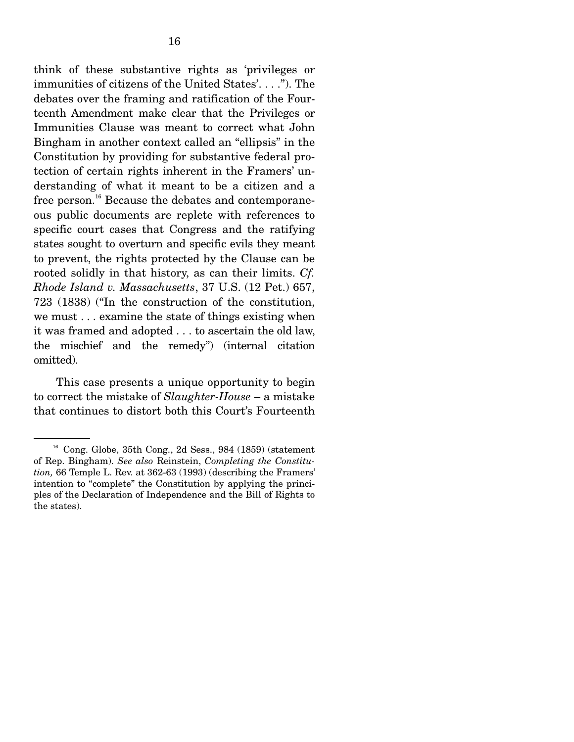think of these substantive rights as 'privileges or immunities of citizens of the United States'. . . ."). The debates over the framing and ratification of the Fourteenth Amendment make clear that the Privileges or Immunities Clause was meant to correct what John Bingham in another context called an "ellipsis" in the Constitution by providing for substantive federal protection of certain rights inherent in the Framers' understanding of what it meant to be a citizen and a free person.<sup>16</sup> Because the debates and contemporaneous public documents are replete with references to specific court cases that Congress and the ratifying states sought to overturn and specific evils they meant to prevent, the rights protected by the Clause can be rooted solidly in that history, as can their limits. *Cf. Rhode Island v. Massachusetts*, 37 U.S. (12 Pet.) 657, 723 (1838) ("In the construction of the constitution, we must . . . examine the state of things existing when it was framed and adopted . . . to ascertain the old law, the mischief and the remedy") (internal citation omitted).

 This case presents a unique opportunity to begin to correct the mistake of *Slaughter-House* – a mistake that continues to distort both this Court's Fourteenth

 $16$  Cong. Globe, 35th Cong., 2d Sess., 984 (1859) (statement of Rep. Bingham). *See also* Reinstein, *Completing the Constitution,* 66 Temple L. Rev. at 362-63 (1993) (describing the Framers' intention to "complete" the Constitution by applying the principles of the Declaration of Independence and the Bill of Rights to the states).